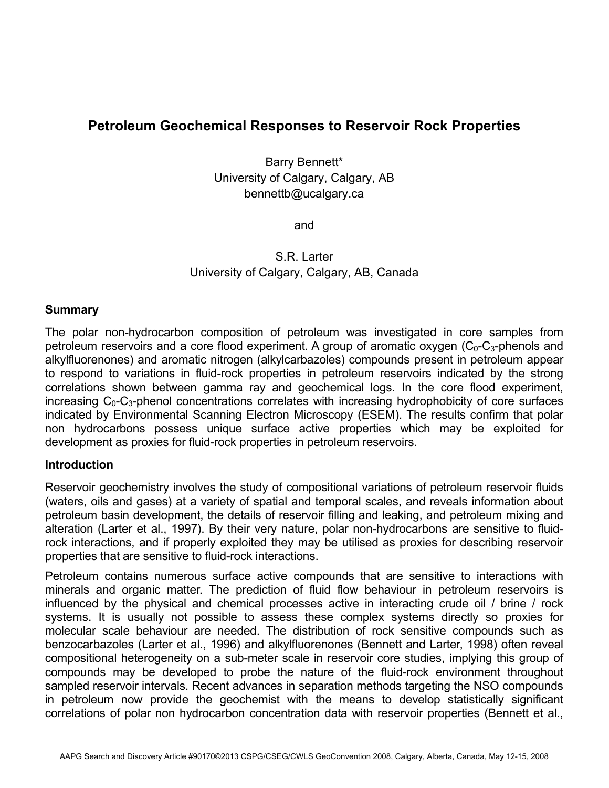# **Petroleum Geochemical Responses to Reservoir Rock Properties**

Barry Bennett\* University of Calgary, Calgary, AB bennettb@ucalgary.ca

and

S.R. Larter University of Calgary, Calgary, AB, Canada

#### **Summary**

The polar non-hydrocarbon composition of petroleum was investigated in core samples from petroleum reservoirs and a core flood experiment. A group of aromatic oxygen  $(C_0-C_3$ -phenols and alkylfluorenones) and aromatic nitrogen (alkylcarbazoles) compounds present in petroleum appear to respond to variations in fluid-rock properties in petroleum reservoirs indicated by the strong correlations shown between gamma ray and geochemical logs. In the core flood experiment, increasing  $C_0$ -C<sub>3</sub>-phenol concentrations correlates with increasing hydrophobicity of core surfaces indicated by Environmental Scanning Electron Microscopy (ESEM). The results confirm that polar non hydrocarbons possess unique surface active properties which may be exploited for development as proxies for fluid-rock properties in petroleum reservoirs.

#### **Introduction**

Reservoir geochemistry involves the study of compositional variations of petroleum reservoir fluids (waters, oils and gases) at a variety of spatial and temporal scales, and reveals information about petroleum basin development, the details of reservoir filling and leaking, and petroleum mixing and alteration (Larter et al., 1997). By their very nature, polar non-hydrocarbons are sensitive to fluidrock interactions, and if properly exploited they may be utilised as proxies for describing reservoir properties that are sensitive to fluid-rock interactions.

Petroleum contains numerous surface active compounds that are sensitive to interactions with minerals and organic matter. The prediction of fluid flow behaviour in petroleum reservoirs is influenced by the physical and chemical processes active in interacting crude oil / brine / rock systems. It is usually not possible to assess these complex systems directly so proxies for molecular scale behaviour are needed. The distribution of rock sensitive compounds such as benzocarbazoles (Larter et al., 1996) and alkylfluorenones (Bennett and Larter, 1998) often reveal compositional heterogeneity on a sub-meter scale in reservoir core studies, implying this group of compounds may be developed to probe the nature of the fluid-rock environment throughout sampled reservoir intervals. Recent advances in separation methods targeting the NSO compounds in petroleum now provide the geochemist with the means to develop statistically significant correlations of polar non hydrocarbon concentration data with reservoir properties (Bennett et al.,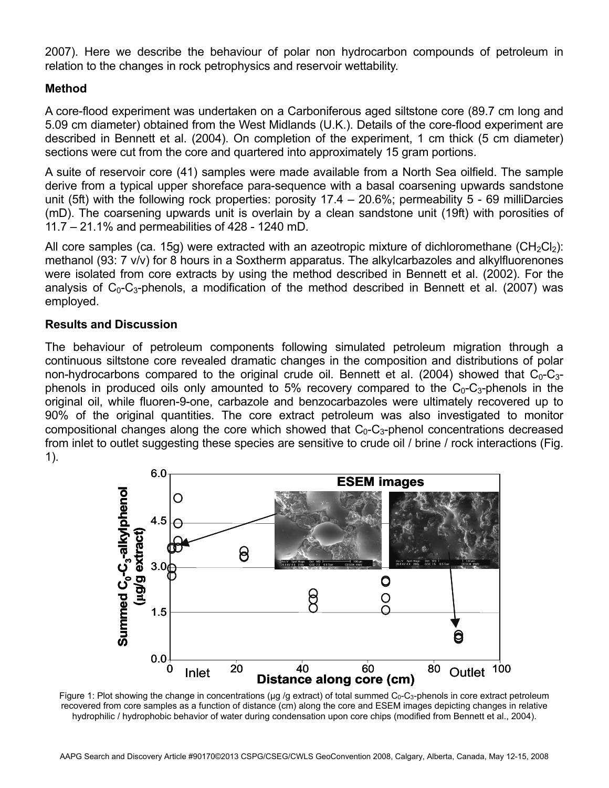2007). Here we describe the behaviour of polar non hydrocarbon compounds of petroleum in relation to the changes in rock petrophysics and reservoir wettability.

# **Method**

A core-flood experiment was undertaken on a Carboniferous aged siltstone core (89.7 cm long and 5.09 cm diameter) obtained from the West Midlands (U.K.). Details of the core-flood experiment are described in Bennett et al. (2004). On completion of the experiment, 1 cm thick (5 cm diameter) sections were cut from the core and quartered into approximately 15 gram portions.

A suite of reservoir core (41) samples were made available from a North Sea oilfield. The sample derive from a typical upper shoreface para-sequence with a basal coarsening upwards sandstone unit (5ft) with the following rock properties: porosity 17.4 – 20.6%; permeability 5 - 69 milliDarcies (mD). The coarsening upwards unit is overlain by a clean sandstone unit (19ft) with porosities of 11.7 – 21.1% and permeabilities of 428 - 1240 mD.

All core samples (ca. 15g) were extracted with an azeotropic mixture of dichloromethane ( $CH_2Cl_2$ ): methanol (93: 7 v/v) for 8 hours in a Soxtherm apparatus. The alkylcarbazoles and alkylfluorenones were isolated from core extracts by using the method described in Bennett et al. (2002). For the analysis of  $C_0$ - $C_3$ -phenols, a modification of the method described in Bennett et al. (2007) was employed.

## **Results and Discussion**

The behaviour of petroleum components following simulated petroleum migration through a continuous siltstone core revealed dramatic changes in the composition and distributions of polar non-hydrocarbons compared to the original crude oil. Bennett et al. (2004) showed that  $C_0$ -C<sub>3</sub>phenols in produced oils only amounted to 5% recovery compared to the  $C_0$ - $C_3$ -phenols in the original oil, while fluoren-9-one, carbazole and benzocarbazoles were ultimately recovered up to 90% of the original quantities. The core extract petroleum was also investigated to monitor compositional changes along the core which showed that  $C_0$ - $C_3$ -phenol concentrations decreased from inlet to outlet suggesting these species are sensitive to crude oil / brine / rock interactions (Fig. 1).



Figure 1: Plot showing the change in concentrations ( $\mu$ g /g extract) of total summed  $C_0$ - $C_3$ -phenols in core extract petroleum recovered from core samples as a function of distance (cm) along the core and ESEM images depicting changes in relative hydrophilic / hydrophobic behavior of water during condensation upon core chips (modified from Bennett et al., 2004).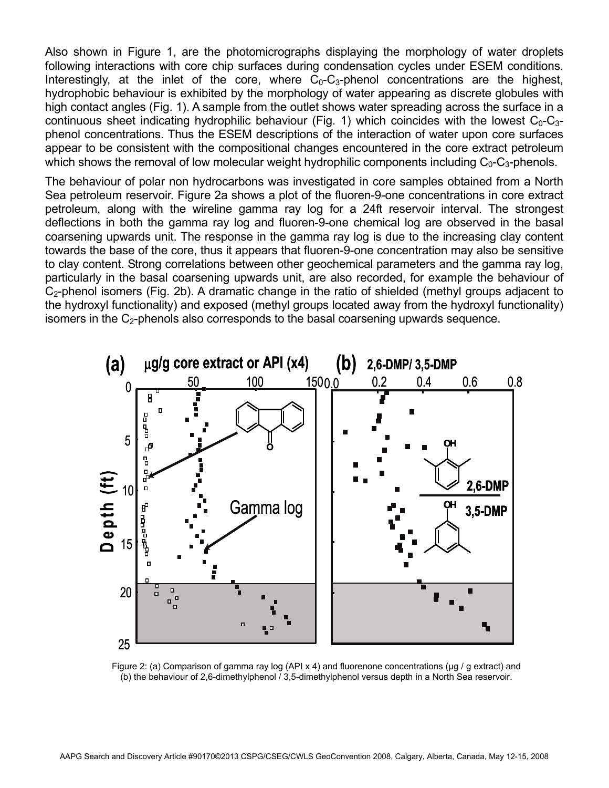Also shown in Figure 1, are the photomicrographs displaying the morphology of water droplets following interactions with core chip surfaces during condensation cycles under ESEM conditions. Interestingly, at the inlet of the core, where  $C_0$ - $C_3$ -phenol concentrations are the highest, hydrophobic behaviour is exhibited by the morphology of water appearing as discrete globules with high contact angles (Fig. 1). A sample from the outlet shows water spreading across the surface in a continuous sheet indicating hydrophilic behaviour (Fig. 1) which coincides with the lowest  $C_0-C_{3-}$ phenol concentrations. Thus the ESEM descriptions of the interaction of water upon core surfaces appear to be consistent with the compositional changes encountered in the core extract petroleum which shows the removal of low molecular weight hydrophilic components including  $C_0-C_3$ -phenols.

The behaviour of polar non hydrocarbons was investigated in core samples obtained from a North Sea petroleum reservoir. Figure 2a shows a plot of the fluoren-9-one concentrations in core extract petroleum, along with the wireline gamma ray log for a 24ft reservoir interval. The strongest deflections in both the gamma ray log and fluoren-9-one chemical log are observed in the basal coarsening upwards unit. The response in the gamma ray log is due to the increasing clay content towards the base of the core, thus it appears that fluoren-9-one concentration may also be sensitive to clay content. Strong correlations between other geochemical parameters and the gamma ray log, particularly in the basal coarsening upwards unit, are also recorded, for example the behaviour of  $C<sub>2</sub>$ -phenol isomers (Fig. 2b). A dramatic change in the ratio of shielded (methyl groups adjacent to the hydroxyl functionality) and exposed (methyl groups located away from the hydroxyl functionality) isomers in the  $C<sub>2</sub>$ -phenols also corresponds to the basal coarsening upwards sequence.



Figure 2: (a) Comparison of gamma ray log (API x 4) and fluorenone concentrations (μg / g extract) and (b) the behaviour of 2,6-dimethylphenol / 3,5-dimethylphenol versus depth in a North Sea reservoir.